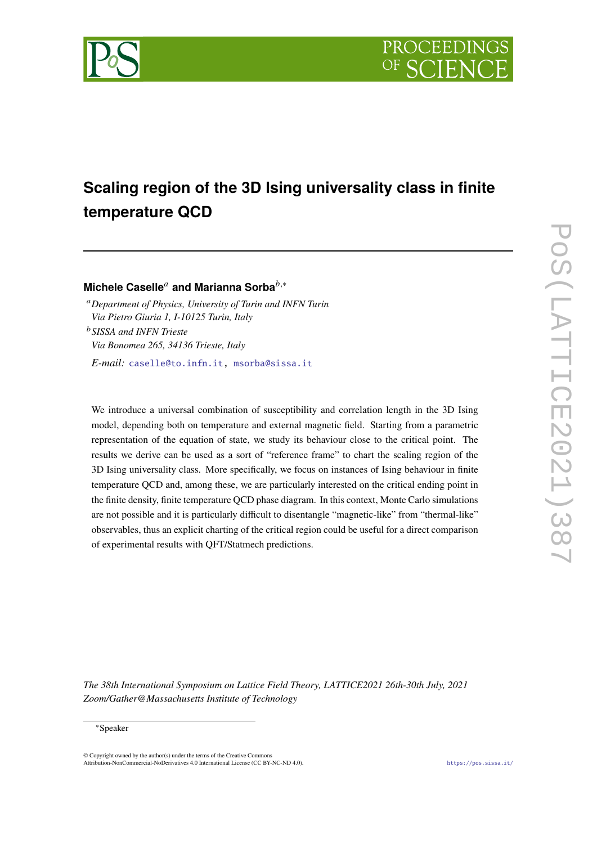



# **Scaling region of the 3D Ising universality class in finite temperature QCD**

**Michele Caselle<sup>a</sup> and Marianna Sorba**<sup>b,∗</sup>

*Department of Physics, University of Turin and INFN Turin Via Pietro Giuria 1, I-10125 Turin, Italy SISSA and INFN Trieste Via Bonomea 265, 34136 Trieste, Italy E-mail:* [caselle@to.infn.it,](mailto:caselle@to.infn.it) [msorba@sissa.it](mailto:msorba@sissa.it)

We introduce a universal combination of susceptibility and correlation length in the 3D Ising model, depending both on temperature and external magnetic field. Starting from a parametric representation of the equation of state, we study its behaviour close to the critical point. The results we derive can be used as a sort of "reference frame" to chart the scaling region of the 3D Ising universality class. More specifically, we focus on instances of Ising behaviour in finite temperature QCD and, among these, we are particularly interested on the critical ending point in the finite density, finite temperature QCD phase diagram. In this context, Monte Carlo simulations are not possible and it is particularly difficult to disentangle "magnetic-like" from "thermal-like" observables, thus an explicit charting of the critical region could be useful for a direct comparison of experimental results with QFT/Statmech predictions.

*The 38th International Symposium on Lattice Field Theory, LATTICE2021 26th-30th July, 2021 Zoom/Gather@Massachusetts Institute of Technology*

### <sup>∗</sup>Speaker

 $\odot$  Copyright owned by the author(s) under the terms of the Creative Common Attribution-NonCommercial-NoDerivatives 4.0 International License (CC BY-NC-ND 4.0). <https://pos.sissa.it/>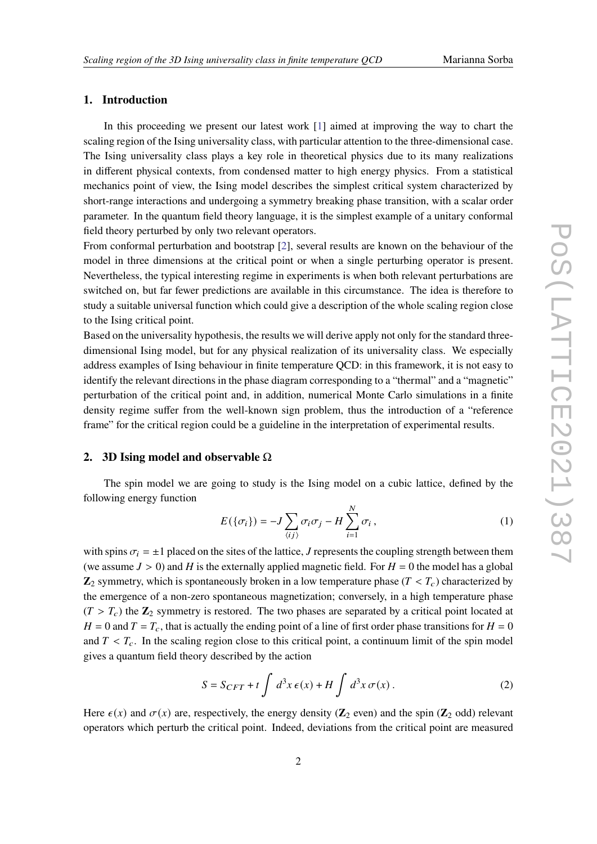# **1. Introduction**

In this proceeding we present our latest work [\[1\]](#page-6-0) aimed at improving the way to chart the scaling region of the Ising universality class, with particular attention to the three-dimensional case. The Ising universality class plays a key role in theoretical physics due to its many realizations in different physical contexts, from condensed matter to high energy physics. From a statistical mechanics point of view, the Ising model describes the simplest critical system characterized by short-range interactions and undergoing a symmetry breaking phase transition, with a scalar order parameter. In the quantum field theory language, it is the simplest example of a unitary conformal field theory perturbed by only two relevant operators.

From conformal perturbation and bootstrap [\[2\]](#page-6-1), several results are known on the behaviour of the model in three dimensions at the critical point or when a single perturbing operator is present. Nevertheless, the typical interesting regime in experiments is when both relevant perturbations are switched on, but far fewer predictions are available in this circumstance. The idea is therefore to study a suitable universal function which could give a description of the whole scaling region close to the Ising critical point.

Based on the universality hypothesis, the results we will derive apply not only for the standard threedimensional Ising model, but for any physical realization of its universality class. We especially address examples of Ising behaviour in finite temperature QCD: in this framework, it is not easy to identify the relevant directions in the phase diagram corresponding to a "thermal" and a "magnetic" perturbation of the critical point and, in addition, numerical Monte Carlo simulations in a finite density regime suffer from the well-known sign problem, thus the introduction of a "reference frame" for the critical region could be a guideline in the interpretation of experimental results.

# **2. 3D Ising model and observable** Ω

The spin model we are going to study is the Ising model on a cubic lattice, defined by the following energy function

$$
E(\{\sigma_i\}) = -J\sum_{\langle ij \rangle} \sigma_i \sigma_j - H \sum_{i=1}^N \sigma_i, \qquad (1)
$$

with spins  $\sigma_i = \pm 1$  placed on the sites of the lattice, J represents the coupling strength between them (we assume  $J > 0$ ) and H is the externally applied magnetic field. For  $H = 0$  the model has a global  $\mathbb{Z}_2$  symmetry, which is spontaneously broken in a low temperature phase ( $T < T_c$ ) characterized by the emergence of a non-zero spontaneous magnetization; conversely, in a high temperature phase  $(T > T_c)$  the  $\mathbb{Z}_2$  symmetry is restored. The two phases are separated by a critical point located at  $H = 0$  and  $T = T_c$ , that is actually the ending point of a line of first order phase transitions for  $H = 0$ and  $T < T_c$ . In the scaling region close to this critical point, a continuum limit of the spin model gives a quantum field theory described by the action

$$
S = S_{CFT} + t \int d^3x \,\epsilon(x) + H \int d^3x \,\sigma(x) \,. \tag{2}
$$

Here  $\epsilon(x)$  and  $\sigma(x)$  are, respectively, the energy density ( $\mathbb{Z}_2$  even) and the spin ( $\mathbb{Z}_2$  odd) relevant operators which perturb the critical point. Indeed, deviations from the critical point are measured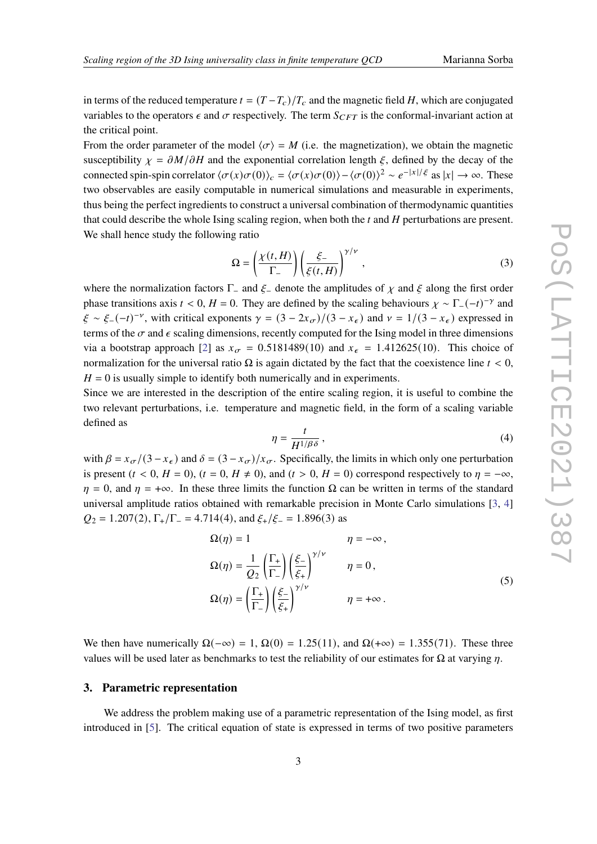in terms of the reduced temperature  $t = (T - T_c)/T_c$  and the magnetic field H, which are conjugated variables to the operators  $\epsilon$  and  $\sigma$  respectively. The term  $S_{CFT}$  is the conformal-invariant action at the critical point.

From the order parameter of the model  $\langle \sigma \rangle = M$  (i.e. the magnetization), we obtain the magnetic susceptibility  $\chi = \partial M / \partial H$  and the exponential correlation length  $\xi$ , defined by the decay of the connected spin-spin correlator  $\langle \sigma(x)\sigma(0)\rangle_c = \langle \sigma(x)\sigma(0)\rangle - \langle \sigma(0)\rangle^2 \sim e^{-|x|/\xi}$  as  $|x| \to \infty$ . These two observables are easily computable in numerical simulations and measurable in experiments, thus being the perfect ingredients to construct a universal combination of thermodynamic quantities that could describe the whole Ising scaling region, when both the  $t$  and  $H$  perturbations are present. We shall hence study the following ratio

$$
\Omega = \left(\frac{\chi(t,H)}{\Gamma_-}\right) \left(\frac{\xi_-}{\xi(t,H)}\right)^{\gamma/\nu},\tag{3}
$$

where the normalization factors  $\Gamma_-\$  and  $\xi_-\$  denote the amplitudes of  $\chi$  and  $\xi$  along the first order phase transitions axis  $t < 0$ ,  $H = 0$ . They are defined by the scaling behaviours  $\chi \sim \Gamma_-(-t)^{-\gamma}$  and  $\xi \sim \xi_-(-t)^{-\nu}$ , with critical exponents  $\gamma = (3 - 2x_{\sigma})/(3 - x_{\epsilon})$  and  $\nu = 1/(3 - x_{\epsilon})$  expressed in terms of the  $\sigma$  and  $\epsilon$  scaling dimensions, recently computed for the Ising model in three dimensions via a bootstrap approach [\[2\]](#page-6-1) as  $x_{\sigma} = 0.5181489(10)$  and  $x_{\epsilon} = 1.412625(10)$ . This choice of normalization for the universal ratio  $\Omega$  is again dictated by the fact that the coexistence line  $t < 0$ ,  $H = 0$  is usually simple to identify both numerically and in experiments.

Since we are interested in the description of the entire scaling region, it is useful to combine the two relevant perturbations, i.e. temperature and magnetic field, in the form of a scaling variable defined as

<span id="page-2-0"></span>
$$
\eta = \frac{t}{H^{1/\beta\delta}},\tag{4}
$$

with  $\beta = x_{\sigma}/(3 - x_{\epsilon})$  and  $\delta = (3 - x_{\sigma})/x_{\sigma}$ . Specifically, the limits in which only one perturbation is present  $(t < 0, H = 0)$ ,  $(t = 0, H \neq 0)$ , and  $(t > 0, H = 0)$  correspond respectively to  $\eta = -\infty$ ,  $\eta = 0$ , and  $\eta = +\infty$ . In these three limits the function  $\Omega$  can be written in terms of the standard universal amplitude ratios obtained with remarkable precision in Monte Carlo simulations [\[3,](#page-6-2) [4\]](#page-6-3)  $Q_2 = 1.207(2), \Gamma_+/\Gamma_- = 4.714(4), \text{ and } \xi_+/\xi_- = 1.896(3) \text{ as}$ 

$$
\Omega(\eta) = 1 \qquad \eta = -\infty,
$$
  
\n
$$
\Omega(\eta) = \frac{1}{Q_2} \left( \frac{\Gamma_+}{\Gamma_-} \right) \left( \frac{\xi_-}{\xi_+} \right)^{\gamma/\nu} \qquad \eta = 0,
$$
  
\n
$$
\Omega(\eta) = \left( \frac{\Gamma_+}{\Gamma_-} \right) \left( \frac{\xi_-}{\xi_+} \right)^{\gamma/\nu} \qquad \eta = +\infty.
$$
\n(5)

We then have numerically  $\Omega(-\infty) = 1$ ,  $\Omega(0) = 1.25(11)$ , and  $\Omega(+\infty) = 1.355(71)$ . These three values will be used later as benchmarks to test the reliability of our estimates for  $Ω$  at varying  $η$ .

# **3. Parametric representation**

We address the problem making use of a parametric representation of the Ising model, as first introduced in [\[5\]](#page-6-4). The critical equation of state is expressed in terms of two positive parameters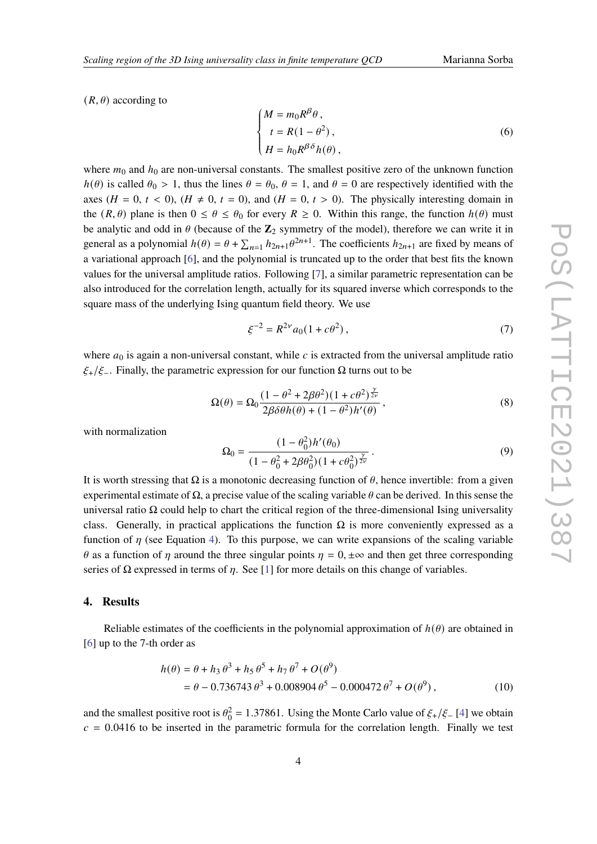$(R, \theta)$  according to

$$
\begin{cases}\nM = m_0 R^{\beta} \theta, \\
t = R(1 - \theta^2), \\
H = h_0 R^{\beta \delta} h(\theta),\n\end{cases}
$$
\n(6)

where  $m_0$  and  $h_0$  are non-universal constants. The smallest positive zero of the unknown function  $h(\theta)$  is called  $\theta_0 > 1$ , thus the lines  $\theta = \theta_0$ ,  $\theta = 1$ , and  $\theta = 0$  are respectively identified with the axes  $(H = 0, t < 0)$ ,  $(H \neq 0, t = 0)$ , and  $(H = 0, t > 0)$ . The physically interesting domain in the  $(R, \theta)$  plane is then  $0 \le \theta \le \theta_0$  for every  $R \ge 0$ . Within this range, the function  $h(\theta)$  must be analytic and odd in  $\theta$  (because of the  $\mathbb{Z}_2$  symmetry of the model), therefore we can write it in general as a polynomial  $h(\theta) = \theta + \sum_{n=1}^{\infty} h_{2n+1} \theta^{2n+1}$ . The coefficients  $h_{2n+1}$  are fixed by means of a variational approach [\[6\]](#page-6-5), and the polynomial is truncated up to the order that best fits the known values for the universal amplitude ratios. Following [\[7\]](#page-6-6), a similar parametric representation can be also introduced for the correlation length, actually for its squared inverse which corresponds to the square mass of the underlying Ising quantum field theory. We use

$$
\xi^{-2} = R^{2\nu} a_0 (1 + c\theta^2) \,, \tag{7}
$$

where  $a_0$  is again a non-universal constant, while  $c$  is extracted from the universal amplitude ratio  $\xi_{+}/\xi_{-}$ . Finally, the parametric expression for our function  $\Omega$  turns out to be

<span id="page-3-0"></span>
$$
\Omega(\theta) = \Omega_0 \frac{(1 - \theta^2 + 2\beta\theta^2)(1 + c\theta^2)^{\frac{\gamma}{2\nu}}}{2\beta\delta\theta h(\theta) + (1 - \theta^2)h'(\theta)},
$$
\n(8)

with normalization

$$
\Omega_0 = \frac{(1 - \theta_0^2)h'(\theta_0)}{(1 - \theta_0^2 + 2\beta\theta_0^2)(1 + c\theta_0^2)^{\frac{\gamma}{2\nu}}}.
$$
\n(9)

It is worth stressing that Ω is a monotonic decreasing function of  $θ$ , hence invertible: from a given experimental estimate of  $\Omega$ , a precise value of the scaling variable  $\theta$  can be derived. In this sense the universal ratio  $\Omega$  could help to chart the critical region of the three-dimensional Ising universality class. Generally, in practical applications the function  $\Omega$  is more conveniently expressed as a function of  $\eta$  (see Equation [4\)](#page-2-0). To this purpose, we can write expansions of the scaling variable  $\theta$  as a function of  $\eta$  around the three singular points  $\eta = 0, \pm \infty$  and then get three corresponding series of  $\Omega$  expressed in terms of  $\eta$ . See [\[1\]](#page-6-0) for more details on this change of variables.

#### **4. Results**

Reliable estimates of the coefficients in the polynomial approximation of  $h(\theta)$  are obtained in [\[6\]](#page-6-5) up to the 7-th order as

$$
h(\theta) = \theta + h_3 \theta^3 + h_5 \theta^5 + h_7 \theta^7 + O(\theta^9)
$$
  
=  $\theta - 0.736743 \theta^3 + 0.008904 \theta^5 - 0.000472 \theta^7 + O(\theta^9)$ , (10)

and the smallest positive root is  $\theta_0^2 = 1.37861$ . Using the Monte Carlo value of  $\xi_+/\xi_-$  [\[4\]](#page-6-3) we obtain  $c = 0.0416$  to be inserted in the parametric formula for the correlation length. Finally we test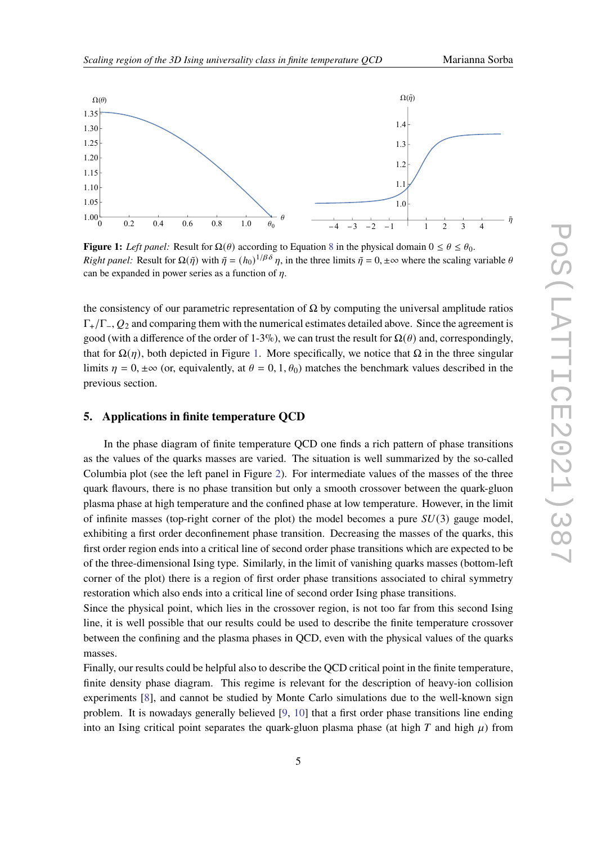

<span id="page-4-0"></span>

**Figure 1:** *Left panel:* Result for  $\Omega(\theta)$  according to Equation [8](#page-3-0) in the physical domain  $0 \le \theta \le \theta_0$ . *Right panel:* Result for  $\Omega(\tilde{\eta})$  with  $\tilde{\eta} = (h_0)^{1/\beta \delta} \eta$ , in the three limits  $\tilde{\eta} = 0, \pm \infty$  where the scaling variable  $\theta$ can be expanded in power series as a function of  $\eta$ .

the consistency of our parametric representation of  $\Omega$  by computing the universal amplitude ratios  $\Gamma_{+}/\Gamma_{-}$ ,  $Q_2$  and comparing them with the numerical estimates detailed above. Since the agreement is good (with a difference of the order of 1-3%), we can trust the result for  $\Omega(\theta)$  and, correspondingly, that for  $\Omega(\eta)$ , both depicted in Figure [1.](#page-4-0) More specifically, we notice that  $\Omega$  in the three singular limits  $\eta = 0, \pm \infty$  (or, equivalently, at  $\theta = 0, 1, \theta_0$ ) matches the benchmark values described in the previous section.

# **5. Applications in finite temperature QCD**

In the phase diagram of finite temperature QCD one finds a rich pattern of phase transitions as the values of the quarks masses are varied. The situation is well summarized by the so-called Columbia plot (see the left panel in Figure [2\)](#page-5-0). For intermediate values of the masses of the three quark flavours, there is no phase transition but only a smooth crossover between the quark-gluon plasma phase at high temperature and the confined phase at low temperature. However, in the limit of infinite masses (top-right corner of the plot) the model becomes a pure  $SU(3)$  gauge model, exhibiting a first order deconfinement phase transition. Decreasing the masses of the quarks, this first order region ends into a critical line of second order phase transitions which are expected to be of the three-dimensional Ising type. Similarly, in the limit of vanishing quarks masses (bottom-left corner of the plot) there is a region of first order phase transitions associated to chiral symmetry restoration which also ends into a critical line of second order Ising phase transitions.

Since the physical point, which lies in the crossover region, is not too far from this second Ising line, it is well possible that our results could be used to describe the finite temperature crossover between the confining and the plasma phases in QCD, even with the physical values of the quarks masses.

Finally, our results could be helpful also to describe the QCD critical point in the finite temperature, finite density phase diagram. This regime is relevant for the description of heavy-ion collision experiments [\[8\]](#page-6-7), and cannot be studied by Monte Carlo simulations due to the well-known sign problem. It is nowadays generally believed [\[9,](#page-6-8) [10\]](#page-6-9) that a first order phase transitions line ending into an Ising critical point separates the quark-gluon plasma phase (at high  $T$  and high  $\mu$ ) from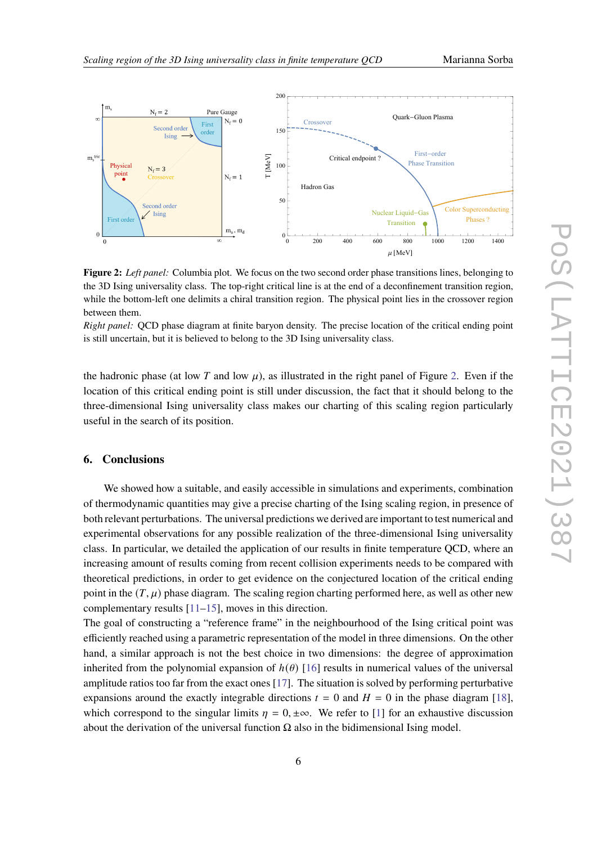<span id="page-5-0"></span>

**Figure 2:** *Left panel:* Columbia plot. We focus on the two second order phase transitions lines, belonging to the 3D Ising universality class. The top-right critical line is at the end of a deconfinement transition region, while the bottom-left one delimits a chiral transition region. The physical point lies in the crossover region between them.

*Right panel:* QCD phase diagram at finite baryon density. The precise location of the critical ending point is still uncertain, but it is believed to belong to the 3D Ising universality class.

the hadronic phase (at low T and low  $\mu$ ), as illustrated in the right panel of Figure [2.](#page-5-0) Even if the location of this critical ending point is still under discussion, the fact that it should belong to the three-dimensional Ising universality class makes our charting of this scaling region particularly useful in the search of its position.

# **6. Conclusions**

We showed how a suitable, and easily accessible in simulations and experiments, combination of thermodynamic quantities may give a precise charting of the Ising scaling region, in presence of both relevant perturbations. The universal predictions we derived are important to test numerical and experimental observations for any possible realization of the three-dimensional Ising universality class. In particular, we detailed the application of our results in finite temperature QCD, where an increasing amount of results coming from recent collision experiments needs to be compared with theoretical predictions, in order to get evidence on the conjectured location of the critical ending point in the  $(T, \mu)$  phase diagram. The scaling region charting performed here, as well as other new complementary results [\[11](#page-6-10)[–15\]](#page-7-0), moves in this direction.

The goal of constructing a "reference frame" in the neighbourhood of the Ising critical point was efficiently reached using a parametric representation of the model in three dimensions. On the other hand, a similar approach is not the best choice in two dimensions: the degree of approximation inherited from the polynomial expansion of  $h(\theta)$  [\[16\]](#page-7-1) results in numerical values of the universal amplitude ratios too far from the exact ones [\[17\]](#page-7-2). The situation is solved by performing perturbative expansions around the exactly integrable directions  $t = 0$  and  $H = 0$  in the phase diagram [\[18\]](#page-7-3). which correspond to the singular limits  $\eta = 0, \pm \infty$ . We refer to [\[1\]](#page-6-0) for an exhaustive discussion about the derivation of the universal function  $\Omega$  also in the bidimensional Ising model.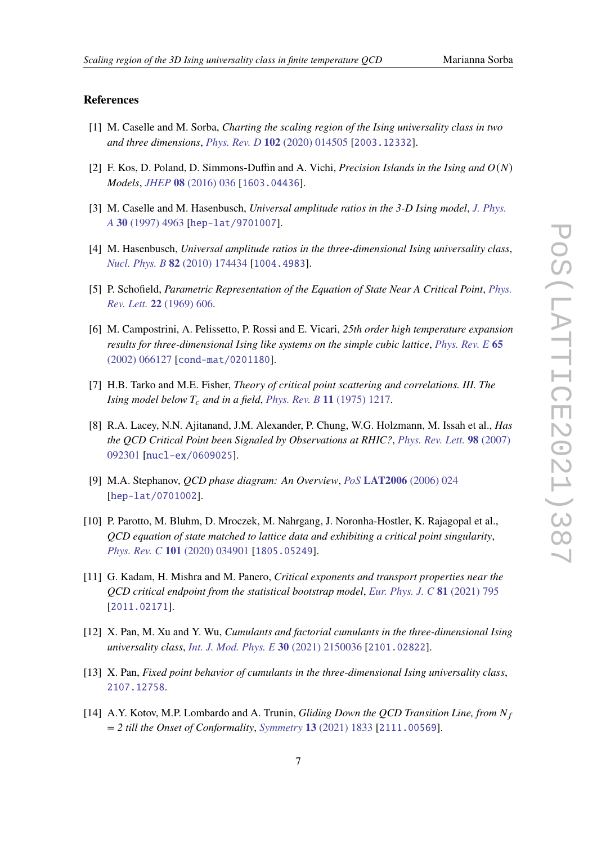# **References**

- <span id="page-6-0"></span>[1] M. Caselle and M. Sorba, *Charting the scaling region of the Ising universality class in two and three dimensions*, *Phys. Rev. D* **102** [\(2020\) 014505](https://doi.org/10.1103/PhysRevD.102.014505) [[2003.12332](https://arxiv.org/abs/2003.12332)].
- <span id="page-6-1"></span>[2] F. Kos, D. Poland, D. Simmons-Duffin and A. Vichi, *Precision Islands in the Ising and*  $O(N)$ *Models*, *JHEP* **08** [\(2016\) 036](https://doi.org/10.1007/JHEP08(2016)036) [[1603.04436](https://arxiv.org/abs/1603.04436)].
- <span id="page-6-2"></span>[3] M. Caselle and M. Hasenbusch, *Universal amplitude ratios in the 3-D Ising model*, *[J. Phys.](https://doi.org/10.1088/0305-4470/30/14/010) A* **30** [\(1997\) 4963](https://doi.org/10.1088/0305-4470/30/14/010) [[hep-lat/9701007](https://arxiv.org/abs/hep-lat/9701007)].
- <span id="page-6-3"></span>[4] M. Hasenbusch, *Universal amplitude ratios in the three-dimensional Ising universality class*, *Nucl. Phys. B* **82** [\(2010\) 174434](https://doi.org/10.1103/PhysRevB.82.174434) [[1004.4983](https://arxiv.org/abs/1004.4983)].
- <span id="page-6-4"></span>[5] P. Schofield, *Parametric Representation of the Equation of State Near A Critical Point*, *[Phys.](https://doi.org/10.1103/PhysRevLett.22.606) Rev. Lett.* **22** [\(1969\) 606.](https://doi.org/10.1103/PhysRevLett.22.606)
- <span id="page-6-5"></span>[6] M. Campostrini, A. Pelissetto, P. Rossi and E. Vicari, *25th order high temperature expansion results for three-dimensional Ising like systems on the simple cubic lattice*, *[Phys. Rev. E](https://doi.org/10.1103/PhysRevE.65.066127)* **65** [\(2002\) 066127](https://doi.org/10.1103/PhysRevE.65.066127) [[cond-mat/0201180](https://arxiv.org/abs/cond-mat/0201180)].
- <span id="page-6-6"></span>[7] H.B. Tarko and M.E. Fisher, *Theory of critical point scattering and correlations. III. The Ising model below*  $T_c$  *and in a field, Phys. Rev. B* 11 [\(1975\) 1217.](https://doi.org/10.1103/PhysRevB.11.1217)
- <span id="page-6-7"></span>[8] R.A. Lacey, N.N. Ajitanand, J.M. Alexander, P. Chung, W.G. Holzmann, M. Issah et al., *Has the QCD Critical Point been Signaled by Observations at RHIC?*, *[Phys. Rev. Lett.](https://doi.org/10.1103/PhysRevLett.98.092301)* **98** (2007) [092301](https://doi.org/10.1103/PhysRevLett.98.092301) [[nucl-ex/0609025](https://arxiv.org/abs/nucl-ex/0609025)].
- <span id="page-6-8"></span>[9] M.A. Stephanov, *QCD phase diagram: An Overview*, *PoS* **LAT2006** [\(2006\) 024](https://doi.org/10.22323/1.032.0024) [[hep-lat/0701002](https://arxiv.org/abs/hep-lat/0701002)].
- <span id="page-6-9"></span>[10] P. Parotto, M. Bluhm, D. Mroczek, M. Nahrgang, J. Noronha-Hostler, K. Rajagopal et al., *QCD equation of state matched to lattice data and exhibiting a critical point singularity*, *Phys. Rev. C* **101** [\(2020\) 034901](https://doi.org/10.1103/PhysRevC.101.034901) [[1805.05249](https://arxiv.org/abs/1805.05249)].
- <span id="page-6-10"></span>[11] G. Kadam, H. Mishra and M. Panero, *Critical exponents and transport properties near the QCD critical endpoint from the statistical bootstrap model*, *[Eur. Phys. J. C](https://doi.org/10.1140/epjc/s10052-021-09596-6)* **81** (2021) 795 [[2011.02171](https://arxiv.org/abs/2011.02171)].
- [12] X. Pan, M. Xu and Y. Wu, *Cumulants and factorial cumulants in the three-dimensional Ising universality class*, *[Int. J. Mod. Phys. E](https://doi.org/10.1142/S0218301321500361)* **30** (2021) 2150036 [[2101.02822](https://arxiv.org/abs/2101.02822)].
- [13] X. Pan, *Fixed point behavior of cumulants in the three-dimensional Ising universality class*, [2107.12758](https://arxiv.org/abs/2107.12758).
- [14] A.Y. Kotov, M.P. Lombardo and A. Trunin, *Gliding Down the QCD Transition Line, from = 2 till the Onset of Conformality*, *Symmetry* **13** [\(2021\) 1833](https://doi.org/10.3390/sym13101833) [[2111.00569](https://arxiv.org/abs/2111.00569)].